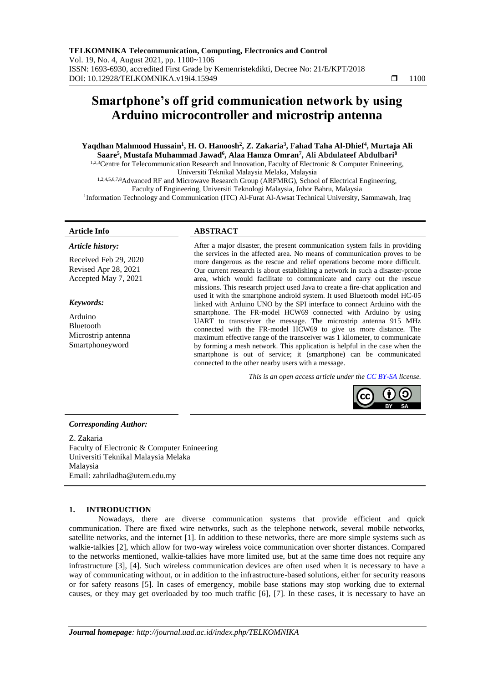# **Smartphone's off grid communication network by using Arduino microcontroller and microstrip antenna**

## **Yaqdhan Mahmood Hussain<sup>1</sup> , H. O. Hanoosh<sup>2</sup> , Z. Zakaria<sup>3</sup> , Fahad Taha Al-Dhief<sup>4</sup> , Murtaja Ali Saare<sup>5</sup> , Mustafa Muhammad Jawad<sup>6</sup> , Alaa Hamza Omran<sup>7</sup> , Ali Abdulateef Abdulbari<sup>8</sup>**

<sup>1,2,3</sup>Centre for Telecommunication Research and Innovation, Faculty of Electronic & Computer Enineering, Universiti Teknikal Malaysia Melaka, Malaysia

1,2,4,5,6,7,8Advanced RF and Microwave Research Group (ARFMRG), School of Electrical Engineering, Faculty of Engineering, Universiti Teknologi Malaysia, Johor Bahru, Malaysia <sup>1</sup>Information Technology and Communication (ITC) Al-Furat Al-Awsat Technical University, Sammawah, Iraq

#### *Article history:*

Received Feb 29, 2020 Revised Apr 28, 2021 Accepted May 7, 2021

#### *Keywords:*

Arduino Bluetooth Microstrip antenna Smartphoneyword

### **Article Info ABSTRACT**

After a major disaster, the present communication system fails in providing the services in the affected area. No means of communication proves to be more dangerous as the rescue and relief operations become more difficult. Our current research is about establishing a network in such a disaster-prone area, which would facilitate to communicate and carry out the rescue missions. This research project used Java to create a fire-chat application and used it with the smartphone android system. It used Bluetooth model HC-05 linked with Arduino UNO by the SPI interface to connect Arduino with the smartphone. The FR-model HCW69 connected with Arduino by using UART to transceiver the message. The microstrip antenna 915 MHz connected with the FR-model HCW69 to give us more distance. The maximum effective range of the transceiver was 1 kilometer, to communicate by forming a mesh network. This application is helpful in the case when the smartphone is out of service; it (smartphone) can be communicated connected to the other nearby users with a message.

*This is an open access article under the [CC BY-SA](https://creativecommons.org/licenses/by-sa/4.0/) license.*



#### *Corresponding Author:*

Z. Zakaria Faculty of Electronic & Computer Enineering Universiti Teknikal Malaysia Melaka Malaysia Email: zahriladha@utem.edu.my

#### **1. INTRODUCTION**

Nowadays, there are diverse communication systems that provide efficient and quick communication. There are fixed wire networks, such as the telephone network, several mobile networks, satellite networks, and the internet [1]. In addition to these networks, there are more simple systems such as walkie-talkies [2], which allow for two-way wireless voice communication over shorter distances. Compared to the networks mentioned, walkie-talkies have more limited use, but at the same time does not require any infrastructure [3], [4]. Such wireless communication devices are often used when it is necessary to have a way of communicating without, or in addition to the infrastructure-based solutions, either for security reasons or for safety reasons [5]. In cases of emergency, mobile base stations may stop working due to external causes, or they may get overloaded by too much traffic [6], [7]. In these cases, it is necessary to have an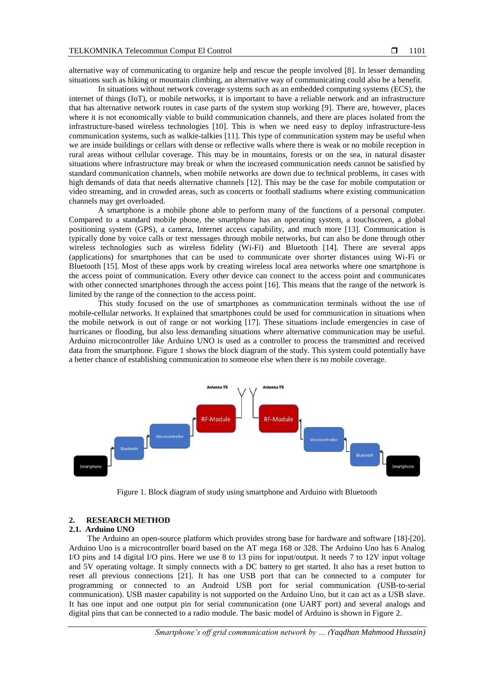alternative way of communicating to organize help and rescue the people involved [8]. In lesser demanding situations such as hiking or mountain climbing, an alternative way of communicating could also be a benefit.

In situations without network coverage systems such as an embedded computing systems (ECS), the internet of things (IoT), or mobile networks, it is important to have a reliable network and an infrastructure that has alternative network routes in case parts of the system stop working [9]. There are, however, places where it is not economically viable to build communication channels, and there are places isolated from the infrastructure-based wireless technologies [10]. This is when we need easy to deploy infrastructure-less communication systems, such as walkie-talkies [11]. This type of communication system may be useful when we are inside buildings or cellars with dense or reflective walls where there is weak or no mobile reception in rural areas without cellular coverage. This may be in mountains, forests or on the sea, in natural disaster situations where infrastructure may break or when the increased communication needs cannot be satisfied by standard communication channels, when mobile networks are down due to technical problems, in cases with high demands of data that needs alternative channels [12]. This may be the case for mobile computation or video streaming, and in crowded areas, such as concerts or football stadiums where existing communication channels may get overloaded.

A smartphone is a mobile phone able to perform many of the functions of a personal computer. Compared to a standard mobile phone, the smartphone has an operating system, a touchscreen, a global positioning system (GPS), a camera, Internet access capability, and much more [13]. Communication is typically done by voice calls or text messages through mobile networks, but can also be done through other wireless technologies such as wireless fidelity (Wi-Fi) and Bluetooth [14]. There are several apps (applications) for smartphones that can be used to communicate over shorter distances using Wi-Fi or Bluetooth [15]. Most of these apps work by creating wireless local area networks where one smartphone is the access point of communication. Every other device can connect to the access point and communicates with other connected smartphones through the access point [16]. This means that the range of the network is limited by the range of the connection to the access point.

This study focused on the use of smartphones as communication terminals without the use of mobile-cellular networks. It explained that smartphones could be used for communication in situations when the mobile network is out of range or not working [17]. These situations include emergencies in case of hurricanes or flooding, but also less demanding situations where alternative communication may be useful. Arduino microcontroller like Arduino UNO is used as a controller to process the transmitted and received data from the smartphone. Figure 1 shows the block diagram of the study. This system could potentially have a better chance of establishing communication to someone else when there is no mobile coverage.



Figure 1. Block diagram of study using smartphone and Arduino with Bluetooth

# **2. RESEARCH METHOD**

#### **2.1. Arduino UNO**

The Arduino an open-source platform which provides strong base for hardware and software [18]-[20]. Arduino Uno is a microcontroller board based on the AT mega 168 or 328. The Arduino Uno has 6 Analog I/O pins and 14 digital I/O pins. Here we use 8 to 13 pins for input/output. It needs 7 to 12V input voltage and 5V operating voltage. It simply connects with a DC battery to get started. It also has a reset button to reset all previous connections [21]. It has one USB port that can be connected to a computer for programming or connected to an Android USB port for serial communication (USB-to-serial communication). USB master capability is not supported on the Arduino Uno, but it can act as a USB slave. It has one input and one output pin for serial communication (one UART port) and several analogs and digital pins that can be connected to a radio module. The basic model of Arduino is shown in Figure 2.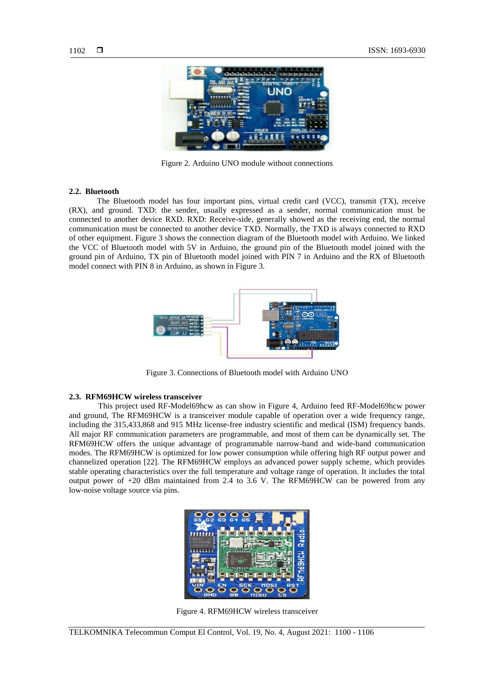

Figure 2. Arduino UNO module without connections

#### **2.2. Bluetooth**

The Bluetooth model has four important pins, virtual credit card (VCC), transmit (TX), receive (RX), and ground. TXD: the sender, usually expressed as a sender, normal communication must be connected to another device RXD. RXD: Receive-side, generally showed as the receiving end, the normal communication must be connected to another device TXD. Normally, the TXD is always connected to RXD of other equipment. Figure 3 shows the connection diagram of the Bluetooth model with Arduino. We linked the VCC of Bluetooth model with 5V in Arduino, the ground pin of the Bluetooth model joined with the ground pin of Arduino, TX pin of Bluetooth model joined with PIN 7 in Arduino and the RX of Bluetooth model connect with PIN 8 in Arduino, as shown in Figure 3.



Figure 3. Connections of Bluetooth model with Arduino UNO

#### **2.3. [RFM69HCW wireless transceiver](https://www.kr4.us/rfm69hcw-wireless-transceiver-434mhz.html)**

This project used RF-Model69hcw as can show in Figure 4, Arduino feed RF-Model69hcw power and ground, The RFM69HCW is a transceiver module capable of operation over a wide frequency range, including the 315,433,868 and 915 MHz license-free industry scientific and medical (ISM) frequency bands. All major RF communication parameters are programmable, and most of them can be dynamically set. The RFM69HCW offers the unique advantage of programmable narrow-band and wide-band communication modes. The RFM69HCW is optimized for low power consumption while offering high RF output power and channelized operation [22]. The RFM69HCW employs an advanced power supply scheme, which provides stable operating characteristics over the full temperature and voltage range of operation. It includes the total output power of +20 dBm maintained from 2.4 to 3.6 V. The RFM69HCW can be powered from any low-noise voltage source via pins.



Figure 4. RFM69HCW wireless transceiver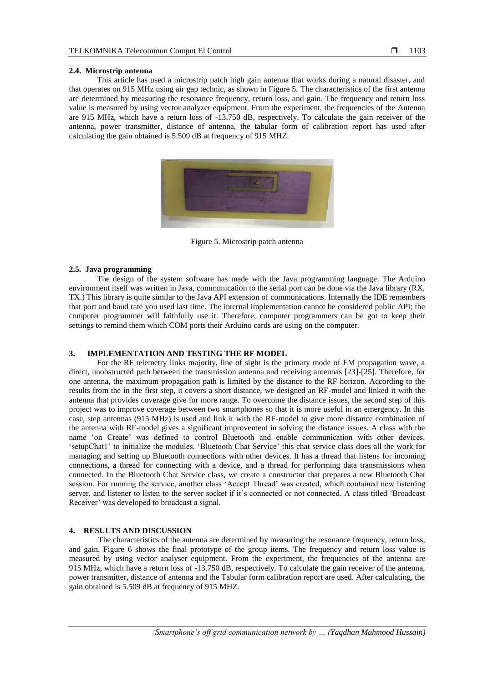#### **2.4. Microstrip antenna**

This article has used a microstrip patch high gain antenna that works during a natural disaster, and that operates on 915 MHz using air gap technic, as shown in Figure 5. The characteristics of the first antenna are determined by measuring the resonance frequency, return loss, and gain. The frequency and return loss value is measured by using vector analyzer equipment. From the experiment, the frequencies of the Antenna are 915 MHz, which have a return loss of -13.750 dB, respectively. To calculate the gain receiver of the antenna, power transmitter, distance of antenna, the tabular form of calibration report has used after calculating the gain obtained is 5.509 dB at frequency of 915 MHZ.



Figure 5. Microstrip patch antenna

#### **2.5. Java programming**

The design of the system software has made with the Java programming language. The Arduino environment itself was written in Java, communication to the serial port can be done via the Java library (RX, TX.) This library is quite similar to the Java API extension of communications. Internally the IDE remembers that port and baud rate you used last time. The internal implementation cannot be considered public API; the computer programmer will faithfully use it. Therefore, computer programmers can be got to keep their settings to remind them which COM ports their Arduino cards are using on the computer.

#### **3. IMPLEMENTATION AND TESTING THE RF MODEL**

For the RF telemetry links majority, line of sight is the primary mode of EM propagation wave, a direct, unobstructed path between the transmission antenna and receiving antennas [23]-[25]. Therefore, for one antenna, the maximum propagation path is limited by the distance to the RF horizon. According to the results from the in the first step, it covers a short distance, we designed an RF-model and linked it with the antenna that provides coverage give for more range. To overcome the distance issues, the second step of this project was to improve coverage between two smartphones so that it is more useful in an emergency. In this case, step antennas (915 MHz) is used and link it with the RF-model to give more distance combination of the antenna with RF-model gives a significant improvement in solving the distance issues. A class with the name 'on Create' was defined to control Bluetooth and enable communication with other devices. 'setupChat1' to initialize the modules. 'Bluetooth Chat Service' this chat service class does all the work for managing and setting up Bluetooth connections with other devices. It has a thread that listens for incoming connections, a thread for connecting with a device, and a thread for performing data transmissions when connected. In the Bluetooth Chat Service class, we create a constructor that prepares a new Bluetooth Chat session. For running the service, another class 'Accept Thread' was created, which contained new listening server, and listener to listen to the server socket if it's connected or not connected. A class titled 'Broadcast Receiver' was developed to broadcast a signal.

### **4. RESULTS AND DISCUSSION**

The characteristics of the antenna are determined by measuring the resonance frequency, return loss, and gain. Figure 6 shows the final prototype of the group items. The frequency and return loss value is measured by using vector analyser equipment. From the experiment, the frequencies of the antenna are 915 MHz, which have a return loss of -13.750 dB, respectively. To calculate the gain receiver of the antenna, power transmitter, distance of antenna and the Tabular form calibration report are used. After calculating, the gain obtained is 5.509 dB at frequency of 915 MHZ.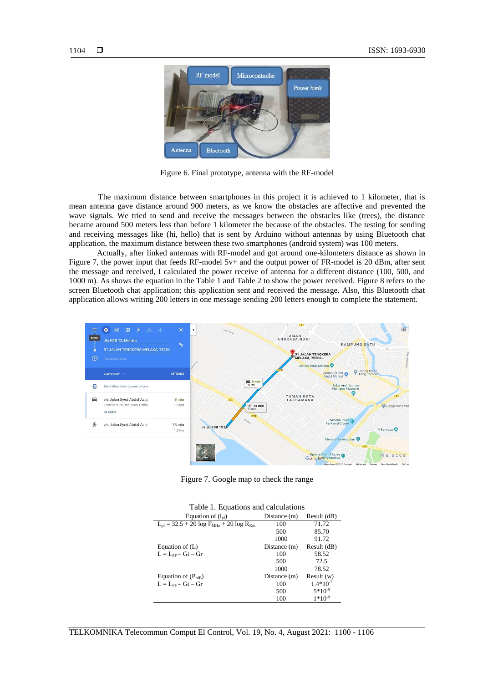

Figure 6. Final prototype, antenna with the RF-model

The maximum distance between smartphones in this project it is achieved to 1 kilometer, that is mean antenna gave distance around 900 meters, as we know the obstacles are affective and prevented the wave signals. We tried to send and receive the messages between the obstacles like (trees), the distance became around 500 meters less than before 1 kilometer the because of the obstacles. The testing for sending and receiving messages like (hi, hello) that is sent by Arduino without antennas by using Bluetooth chat application, the maximum distance between these two smartphones (android system) was 100 meters.

Actually, after linked antennas with RF-model and got around one-kilometers distance as shown in Figure 7, the power input that feeds RF-model 5v+ and the output power of FR-model is 20 dBm, after sent the message and received, I calculated the power receive of antenna for a different distance (100, 500, and 1000 m). As shows the equation in the Table 1 and Table 2 to show the power received. Figure 8 refers to the screen Bluetooth chat application; this application sent and received the message. Also, this Bluetooth chat application allows writing 200 letters in one message sending 200 letters enough to complete the statement.



Figure 7. Google map to check the range

| Table 1. Equations and calculations                  |              |               |
|------------------------------------------------------|--------------|---------------|
| Equation of $(l_{\text{nf}})$                        | Distance (m) | Result (dB)   |
| $L_{pf}$ = 32.5 + 20 log $F_{MHz}$ + 20 log $R_{Km}$ | 100          | 71.72         |
|                                                      | 500          | 85.70         |
|                                                      | 1000         | 91.72         |
| Equation of $(L)$                                    | Distance (m) | Result (dB)   |
| $L = L_{\text{per}} - Gt - Gr$                       | 100          | 58.52         |
|                                                      | 500          | 72.5          |
|                                                      | 1000         | 78.52         |
| Equation of $(P_{rdB})$                              | Distance (m) | Result(w)     |
| $L = L_{\text{per}} - Gt - Gr$                       | 100          | $1.4*10^{-7}$ |
|                                                      | 500          | $5*10^{-9}$   |
|                                                      | 100          | $1*10^{-9}$   |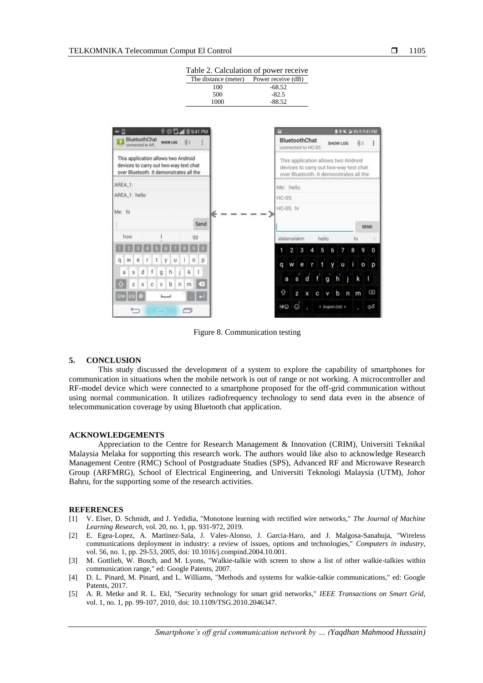|                                                                                                                          | 500          | $-82.5$                                                                                                                  |
|--------------------------------------------------------------------------------------------------------------------------|--------------|--------------------------------------------------------------------------------------------------------------------------|
|                                                                                                                          | 1000         | $-88.52$                                                                                                                 |
|                                                                                                                          |              |                                                                                                                          |
| - 0<br>9:41 PM<br>ο                                                                                                      |              | 2 4 4 2 3 5 8 9:41 PM<br>囲                                                                                               |
| BluetoothChat<br>SHOW LOG<br>岩<br>connected to AR.                                                                       |              | BluetoothChat<br>寒水<br>SHOW LOG<br>connected to HC-05                                                                    |
| This application allows two Android<br>devices to carry out two-way text chat<br>over Bluetooth. It demonstrates all the |              | This application allows two Android<br>devices to carry out two-way text chat<br>over Bluetooth. It demonstrates all the |
| AREA_1:                                                                                                                  |              | Me: hello                                                                                                                |
| AREA_1: hello                                                                                                            |              | HC-05:                                                                                                                   |
| Me: hi                                                                                                                   |              | HC-05: hi                                                                                                                |
| Send                                                                                                                     |              | <b>SEND</b>                                                                                                              |
| how<br>QQ                                                                                                                |              | alalamalakm<br>hello<br>hi                                                                                               |
|                                                                                                                          |              | 2<br>5<br>8<br>9<br>$\Omega$<br>3<br>4<br>6                                                                              |
| q<br>W<br>e                                                                                                              | p            | ĩ.<br>t<br>y<br>U<br>O<br>W<br>е<br>D<br>q                                                                               |
| d<br>$\overline{\mathbf{s}}$<br>h<br>a<br>q                                                                              |              |                                                                                                                          |
| b<br>c<br>x<br>v<br>n<br>z<br>m                                                                                          | $\mathbf{x}$ | h<br>g<br>k<br>d<br>a<br>Ś                                                                                               |
|                                                                                                                          |              | $\left( \overline{x}\right)$<br>⇧<br>b<br>m<br>n<br>z<br>x<br>v                                                          |
| A                                                                                                                        |              | $^\copyright$<br>!#©<br>الىلى<br>ا<br>4 English (US) +                                                                   |

Table 2. Calculation of power receive The distance (meter) Power receive (dB)<br>100 -68.52  $100 -68.52$ <br>500  $-82.5$ 

Figure 8. Communication testing

#### **5. CONCLUSION**

This study discussed the development of a system to explore the capability of smartphones for communication in situations when the mobile network is out of range or not working. A microcontroller and RF-model device which were connected to a smartphone proposed for the off-grid communication without using normal communication. It utilizes radiofrequency technology to send data even in the absence of telecommunication coverage by using Bluetooth chat application.

#### **ACKNOWLEDGEMENTS**

Appreciation to the Centre for Research Management & Innovation (CRIM), Universiti Teknikal Malaysia Melaka for supporting this research work. The authors would like also to acknowledge Research Management Centre (RMC) School of Postgraduate Studies (SPS), Advanced RF and Microwave Research Group (ARFMRG), School of Electrical Engineering, and Universiti Teknologi Malaysia (UTM), Johor Bahru, for the supporting some of the research activities.

#### **REFERENCES**

- [1] V. Elser, D. Schmidt, and J. Yedidia, "Monotone learning with rectified wire networks," *The Journal of Machine Learning Research*, vol. 20, no. 1, pp. 931-972, 2019.
- [2] E. Egea-Lopez, A. Martinez-Sala, J. Vales-Alonso, J. Garcia-Haro, and J. Malgosa-Sanahuja, "Wireless communications deployment in industry: a review of issues, options and technologies," *Computers in industry*, vol. 56, no. 1, pp. 29-53, 2005, doi: 10.1016/j.compind.2004.10.001.
- [3] M. Gottlieb, W. Bosch, and M. Lyons, "Walkie-talkie with screen to show a list of other walkie-talkies within communication range," ed: Google Patents, 2007.
- [4] D. L. Pinard, M. Pinard, and L. Williams, "Methods and systems for walkie-talkie communications," ed: Google Patents, 2017.
- [5] A. R. Metke and R. L. Ekl, "Security technology for smart grid networks," *IEEE Transactions on Smart Grid*, vol. 1, no. 1, pp. 99-107, 2010, doi: 10.1109/TSG.2010.2046347.